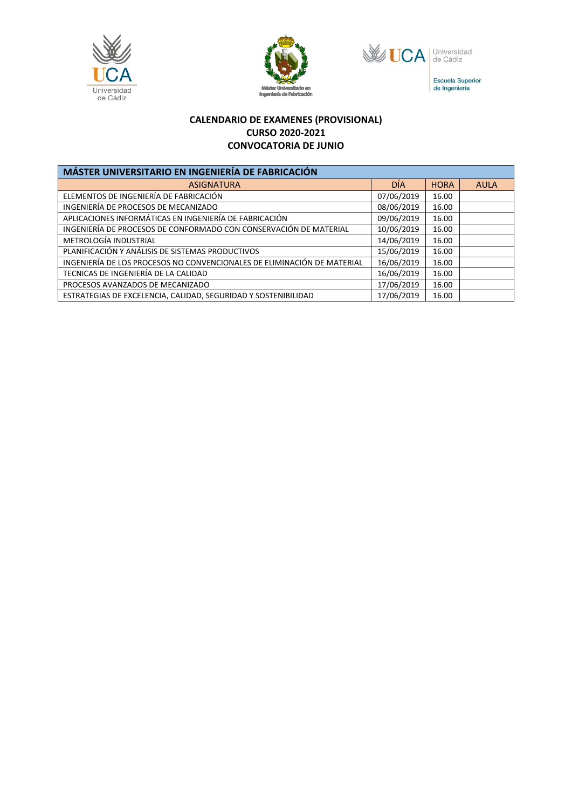





Escuela Superior<br>de Ingeniería

## **CALENDARIO DE EXAMENES (PROVISIONAL) CURSO 2020-2021 CONVOCATORIA DE JUNIO**

| MÁSTER UNIVERSITARIO EN INGENIERÍA DE FABRICACIÓN                       |            |             |             |  |
|-------------------------------------------------------------------------|------------|-------------|-------------|--|
| <b>ASIGNATURA</b>                                                       | <b>DÍA</b> | <b>HORA</b> | <b>AULA</b> |  |
| ELEMENTOS DE INGENIERÍA DE FABRICACIÓN                                  | 07/06/2019 | 16.00       |             |  |
| INGENIERÍA DE PROCESOS DE MECANIZADO                                    | 08/06/2019 | 16.00       |             |  |
| APLICACIONES INFORMÁTICAS EN INGENIERÍA DE FABRICACIÓN                  | 09/06/2019 | 16.00       |             |  |
| INGENIERÍA DE PROCESOS DE CONFORMADO CON CONSERVACIÓN DE MATERIAL       | 10/06/2019 | 16.00       |             |  |
| METROLOGÍA INDUSTRIAL                                                   | 14/06/2019 | 16.00       |             |  |
| PLANIFICACIÓN Y ANÁLISIS DE SISTEMAS PRODUCTIVOS                        | 15/06/2019 | 16.00       |             |  |
| INGENIERÍA DE LOS PROCESOS NO CONVENCIONALES DE ELIMINACIÓN DE MATERIAL | 16/06/2019 | 16.00       |             |  |
| TECNICAS DE INGENIERÍA DE LA CALIDAD                                    | 16/06/2019 | 16.00       |             |  |
| PROCESOS AVANZADOS DE MECANIZADO                                        | 17/06/2019 | 16.00       |             |  |
| ESTRATEGIAS DE EXCELENCIA, CALIDAD, SEGURIDAD Y SOSTENIBILIDAD          | 17/06/2019 | 16.00       |             |  |